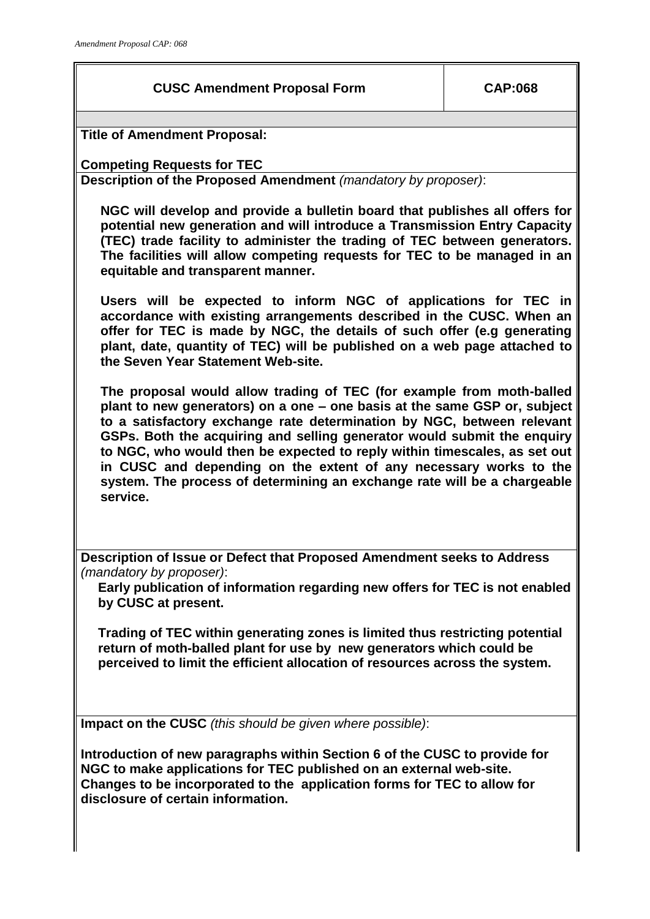## **CUSC Amendment Proposal Form CAP:068**

**Title of Amendment Proposal:**

**Competing Requests for TEC**

**Description of the Proposed Amendment** *(mandatory by proposer)*:

**NGC will develop and provide a bulletin board that publishes all offers for potential new generation and will introduce a Transmission Entry Capacity (TEC) trade facility to administer the trading of TEC between generators. The facilities will allow competing requests for TEC to be managed in an equitable and transparent manner.**

**Users will be expected to inform NGC of applications for TEC in accordance with existing arrangements described in the CUSC. When an offer for TEC is made by NGC, the details of such offer (e.g generating plant, date, quantity of TEC) will be published on a web page attached to the Seven Year Statement Web-site.**

**The proposal would allow trading of TEC (for example from moth-balled plant to new generators) on a one – one basis at the same GSP or, subject to a satisfactory exchange rate determination by NGC, between relevant GSPs. Both the acquiring and selling generator would submit the enquiry to NGC, who would then be expected to reply within timescales, as set out in CUSC and depending on the extent of any necessary works to the system. The process of determining an exchange rate will be a chargeable service.** 

**Description of Issue or Defect that Proposed Amendment seeks to Address**  *(mandatory by proposer)*:

**Early publication of information regarding new offers for TEC is not enabled by CUSC at present.** 

**Trading of TEC within generating zones is limited thus restricting potential return of moth-balled plant for use by new generators which could be perceived to limit the efficient allocation of resources across the system.** 

**Impact on the CUSC** *(this should be given where possible)*:

**Introduction of new paragraphs within Section 6 of the CUSC to provide for NGC to make applications for TEC published on an external web-site. Changes to be incorporated to the application forms for TEC to allow for disclosure of certain information.**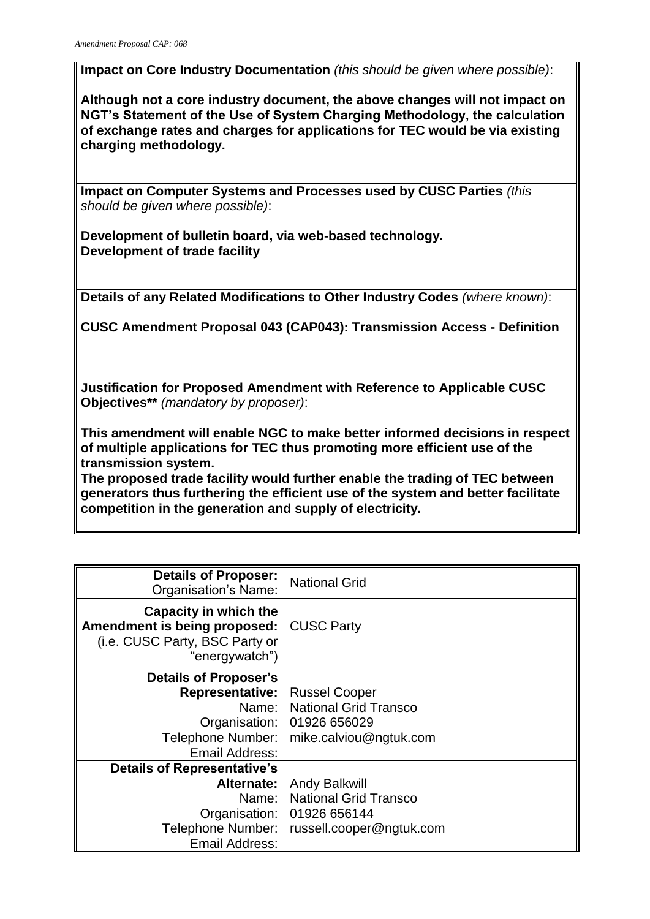**Impact on Core Industry Documentation** *(this should be given where possible)*:

**Although not a core industry document, the above changes will not impact on NGT's Statement of the Use of System Charging Methodology, the calculation of exchange rates and charges for applications for TEC would be via existing charging methodology.** 

**Impact on Computer Systems and Processes used by CUSC Parties** *(this should be given where possible)*:

**Development of bulletin board, via web-based technology. Development of trade facility**

**Details of any Related Modifications to Other Industry Codes** *(where known)*:

**CUSC Amendment Proposal 043 (CAP043): Transmission Access - Definition**

**Justification for Proposed Amendment with Reference to Applicable CUSC Objectives\*\*** *(mandatory by proposer)*:

**This amendment will enable NGC to make better informed decisions in respect of multiple applications for TEC thus promoting more efficient use of the transmission system.** 

**The proposed trade facility would further enable the trading of TEC between generators thus furthering the efficient use of the system and better facilitate competition in the generation and supply of electricity.**

| <b>Details of Proposer:</b><br>Organisation's Name:                                                       | <b>National Grid</b>         |
|-----------------------------------------------------------------------------------------------------------|------------------------------|
| Capacity in which the<br>Amendment is being proposed:<br>(i.e. CUSC Party, BSC Party or<br>"energywatch") | <b>CUSC Party</b>            |
| Details of Proposer's                                                                                     |                              |
| <b>Representative:</b>                                                                                    | <b>Russel Cooper</b>         |
| Name: I                                                                                                   | <b>National Grid Transco</b> |
| Organisation:                                                                                             | 01926 656029                 |
| Telephone Number:                                                                                         | mike.calviou@ngtuk.com       |
| Email Address:                                                                                            |                              |
| <b>Details of Representative's</b>                                                                        |                              |
| Alternate:                                                                                                | <b>Andy Balkwill</b>         |
| Name: I                                                                                                   | <b>National Grid Transco</b> |
| Organisation:                                                                                             | 01926 656144                 |
| Telephone Number:                                                                                         | russell.cooper@ngtuk.com     |
| Email Address:                                                                                            |                              |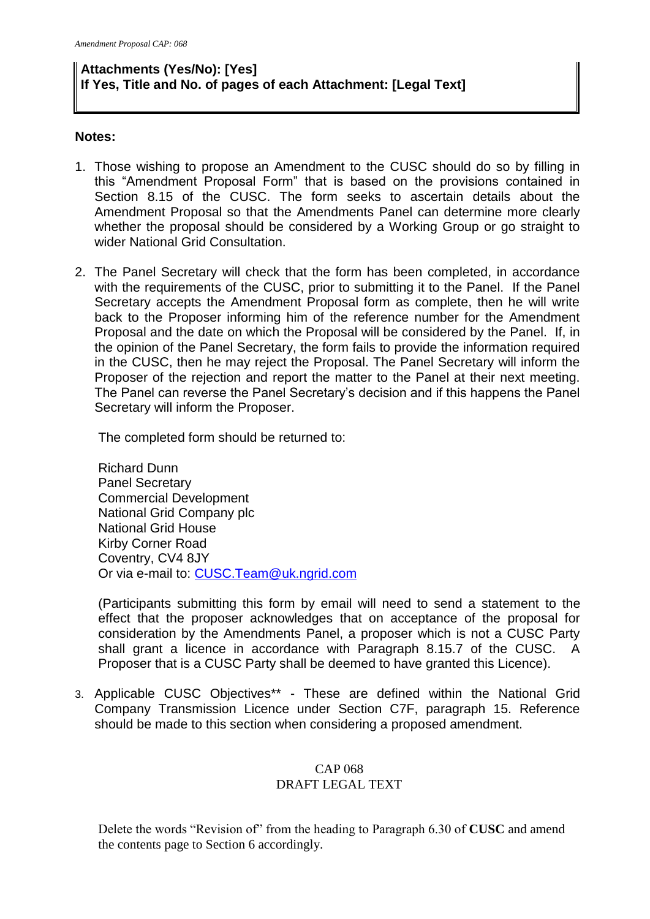# **Attachments (Yes/No): [Yes] If Yes, Title and No. of pages of each Attachment: [Legal Text]**

#### **Notes:**

- 1. Those wishing to propose an Amendment to the CUSC should do so by filling in this "Amendment Proposal Form" that is based on the provisions contained in Section 8.15 of the CUSC. The form seeks to ascertain details about the Amendment Proposal so that the Amendments Panel can determine more clearly whether the proposal should be considered by a Working Group or go straight to wider National Grid Consultation.
- 2. The Panel Secretary will check that the form has been completed, in accordance with the requirements of the CUSC, prior to submitting it to the Panel. If the Panel Secretary accepts the Amendment Proposal form as complete, then he will write back to the Proposer informing him of the reference number for the Amendment Proposal and the date on which the Proposal will be considered by the Panel. If, in the opinion of the Panel Secretary, the form fails to provide the information required in the CUSC, then he may reject the Proposal. The Panel Secretary will inform the Proposer of the rejection and report the matter to the Panel at their next meeting. The Panel can reverse the Panel Secretary's decision and if this happens the Panel Secretary will inform the Proposer.

The completed form should be returned to:

Richard Dunn Panel Secretary Commercial Development National Grid Company plc National Grid House Kirby Corner Road Coventry, CV4 8JY Or via e-mail to: [CUSC.Team@uk.ngrid.com](mailto:CUSC.Team@uk.ngrid.com)

(Participants submitting this form by email will need to send a statement to the effect that the proposer acknowledges that on acceptance of the proposal for consideration by the Amendments Panel, a proposer which is not a CUSC Party shall grant a licence in accordance with Paragraph 8.15.7 of the CUSC. A Proposer that is a CUSC Party shall be deemed to have granted this Licence).

3. Applicable CUSC Objectives\*\* - These are defined within the National Grid Company Transmission Licence under Section C7F, paragraph 15. Reference should be made to this section when considering a proposed amendment.

#### CAP 068 DRAFT LEGAL TEXT

Delete the words "Revision of" from the heading to Paragraph 6.30 of **CUSC** and amend the contents page to Section 6 accordingly.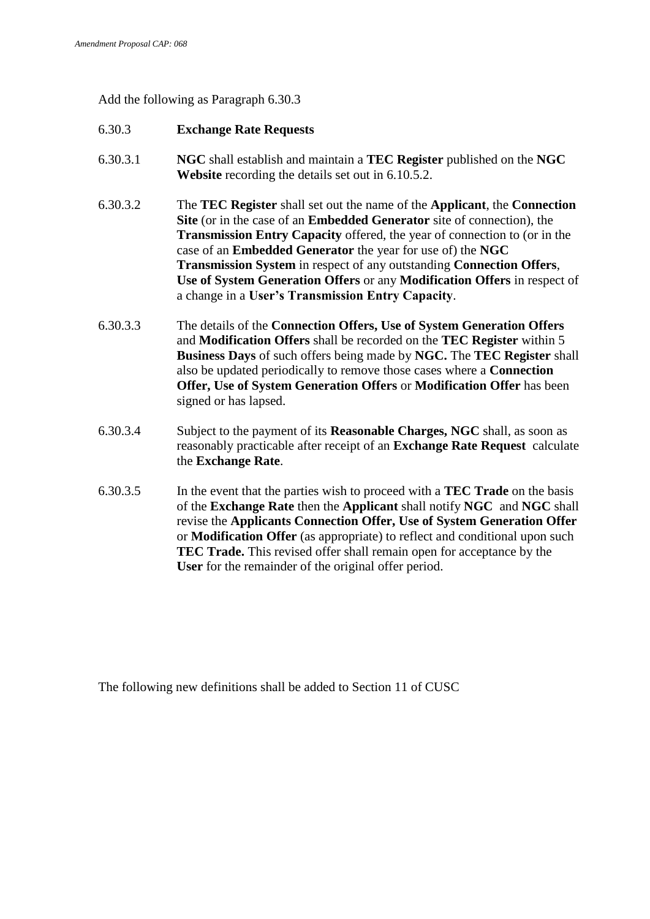Add the following as Paragraph 6.30.3

### 6.30.3 **Exchange Rate Requests**

- 6.30.3.1 **NGC** shall establish and maintain a **TEC Register** published on the **NGC Website** recording the details set out in 6.10.5.2.
- 6.30.3.2 The **TEC Register** shall set out the name of the **Applicant**, the **Connection Site** (or in the case of an **Embedded Generator** site of connection), the **Transmission Entry Capacity** offered, the year of connection to (or in the case of an **Embedded Generator** the year for use of) the **NGC Transmission System** in respect of any outstanding **Connection Offers**, **Use of System Generation Offers** or any **Modification Offers** in respect of a change in a **User's Transmission Entry Capacity**.
- 6.30.3.3 The details of the **Connection Offers, Use of System Generation Offers**  and **Modification Offers** shall be recorded on the **TEC Register** within 5 **Business Days** of such offers being made by **NGC.** The **TEC Register** shall also be updated periodically to remove those cases where a **Connection Offer, Use of System Generation Offers** or **Modification Offer** has been signed or has lapsed.
- 6.30.3.4 Subject to the payment of its **Reasonable Charges, NGC** shall, as soon as reasonably practicable after receipt of an **Exchange Rate Request** calculate the **Exchange Rate**.
- 6.30.3.5 In the event that the parties wish to proceed with a **TEC Trade** on the basis of the **Exchange Rate** then the **Applicant** shall notify **NGC** and **NGC** shall revise the **Applicants Connection Offer, Use of System Generation Offer**  or **Modification Offer** (as appropriate) to reflect and conditional upon such **TEC Trade.** This revised offer shall remain open for acceptance by the **User** for the remainder of the original offer period.

The following new definitions shall be added to Section 11 of CUSC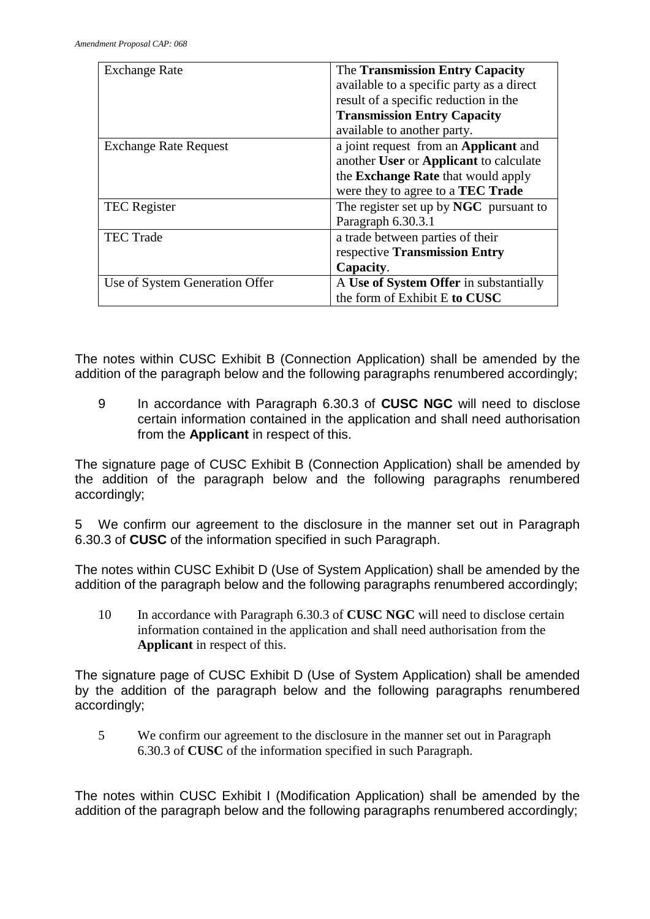| <b>Exchange Rate</b>           | The Transmission Entry Capacity<br>available to a specific party as a direct<br>result of a specific reduction in the                                                    |
|--------------------------------|--------------------------------------------------------------------------------------------------------------------------------------------------------------------------|
|                                | <b>Transmission Entry Capacity</b><br>available to another party.                                                                                                        |
| <b>Exchange Rate Request</b>   | a joint request from an Applicant and<br>another User or Applicant to calculate<br>the <b>Exchange Rate</b> that would apply<br>were they to agree to a <b>TEC Trade</b> |
| <b>TEC</b> Register            | The register set up by NGC pursuant to<br>Paragraph 6.30.3.1                                                                                                             |
| <b>TEC Trade</b>               | a trade between parties of their<br>respective Transmission Entry<br>Capacity.                                                                                           |
| Use of System Generation Offer | A Use of System Offer in substantially<br>the form of Exhibit E to CUSC                                                                                                  |

The notes within CUSC Exhibit B (Connection Application) shall be amended by the addition of the paragraph below and the following paragraphs renumbered accordingly;

9 In accordance with Paragraph 6.30.3 of **CUSC NGC** will need to disclose certain information contained in the application and shall need authorisation from the **Applicant** in respect of this.

The signature page of CUSC Exhibit B (Connection Application) shall be amended by the addition of the paragraph below and the following paragraphs renumbered accordingly;

5 We confirm our agreement to the disclosure in the manner set out in Paragraph 6.30.3 of **CUSC** of the information specified in such Paragraph.

The notes within CUSC Exhibit D (Use of System Application) shall be amended by the addition of the paragraph below and the following paragraphs renumbered accordingly;

10 In accordance with Paragraph 6.30.3 of **CUSC NGC** will need to disclose certain information contained in the application and shall need authorisation from the **Applicant** in respect of this.

The signature page of CUSC Exhibit D (Use of System Application) shall be amended by the addition of the paragraph below and the following paragraphs renumbered accordingly;

5 We confirm our agreement to the disclosure in the manner set out in Paragraph 6.30.3 of **CUSC** of the information specified in such Paragraph.

The notes within CUSC Exhibit I (Modification Application) shall be amended by the addition of the paragraph below and the following paragraphs renumbered accordingly;